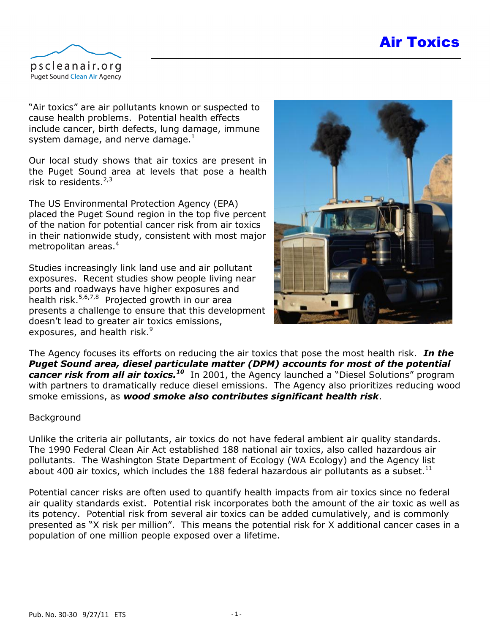# Air Toxics



"Air toxics" are air pollutants known or suspected to cause health problems. Potential health effects include cancer, birth defects, lung damage, immune system damage, and nerve damage. $1$ 

<span id="page-0-0"></span>Our local study shows that air toxics are present in the Puget Sound area at levels that pose a health risk to residents. $2,3$ 

The US Environmental Protection Agency (EPA) placed the Puget Sound region in the top five percent of the nation for potential cancer risk from air toxics in their nationwide study, consistent with most major metropolitan areas.<sup>4</sup>

Studies increasingly link land use and air pollutant exposures. Recent studies show people living near ports and roadways have higher exposures and health risk.<sup>5,6,7,8</sup> Projected growth in our area presents a challenge to ensure that this development doesn't lead to greater air toxics emissions, exposures, and health risk.<sup>9</sup>



The Agency focuses its efforts on reducing the air toxics that pose the most health risk. *In the Puget Sound area, diesel particulate matter (DPM) accounts for most of the potential cancer risk from all air toxics.<sup>10</sup>* In 2001, the Agency launched a "Diesel Solutions" program with partners to dramatically reduce diesel emissions. The Agency also prioritizes reducing wood smoke emissions, as *wood smoke also contributes significant health risk*.

#### Background

Unlike the criteria air pollutants, air toxics do not have federal ambient air quality standards. The 1990 Federal Clean Air Act established 188 national air toxics, also called hazardous air pollutants. The Washington State Department of Ecology (WA Ecology) and the Agency list about 400 air toxics, which includes the 188 federal hazardous air pollutants as a subset.<sup>11</sup>

Potential cancer risks are often used to quantify health impacts from air toxics since no federal air quality standards exist. Potential risk incorporates both the amount of the air toxic as well as its potency. Potential risk from several air toxics can be added cumulatively, and is commonly presented as "X risk per million". This means the potential risk for X additional cancer cases in a population of one million people exposed over a lifetime.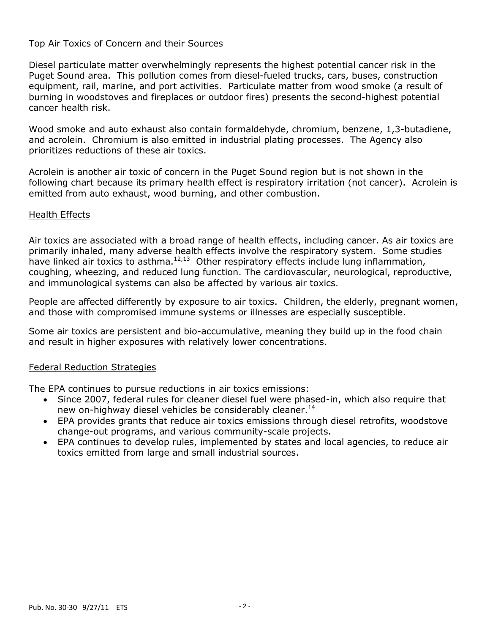# Top Air Toxics of Concern and their Sources

Diesel particulate matter overwhelmingly represents the highest potential cancer risk in the Puget Sound area. This pollution comes from diesel-fueled trucks, cars, buses, construction equipment, rail, marine, and port activities. Particulate matter from wood smoke (a result of burning in woodstoves and fireplaces or outdoor fires) presents the second-highest potential cancer health risk.

Wood smoke and auto exhaust also contain formaldehyde, chromium, benzene, 1,3-butadiene, and acrolein. Chromium is also emitted in industrial plating processes. The Agency also prioritizes reductions of these air toxics.

Acrolein is another air toxic of concern in the Puget Sound region but is not shown in the following chart because its primary health effect is respiratory irritation (not cancer). Acrolein is emitted from auto exhaust, wood burning, and other combustion.

# Health Effects

Air toxics are associated with a broad range of health effects, including cancer. As air toxics are primarily inhaled, many adverse health effects involve the respiratory system. Some studies have linked air toxics to asthma. $^{12,13}$  Other respiratory effects include lung inflammation, coughing, wheezing, and reduced lung function. The cardiovascular, neurological, reproductive, and immunological systems can also be affected by various air toxics.

People are affected differently by exposure to air toxics. Children, the elderly, pregnant women, and those with compromised immune systems or illnesses are especially susceptible.

Some air toxics are persistent and bio-accumulative, meaning they build up in the food chain and result in higher exposures with relatively lower concentrations.

# Federal Reduction Strategies

The EPA continues to pursue reductions in air toxics emissions:

- Since 2007, federal rules for cleaner diesel fuel were phased-in, which also require that new on-highway diesel vehicles be considerably cleaner.<sup>14</sup>
- EPA provides grants that reduce air toxics emissions through diesel retrofits, woodstove change-out programs, and various community-scale projects.
- EPA continues to develop rules, implemented by states and local agencies, to reduce air toxics emitted from large and small industrial sources.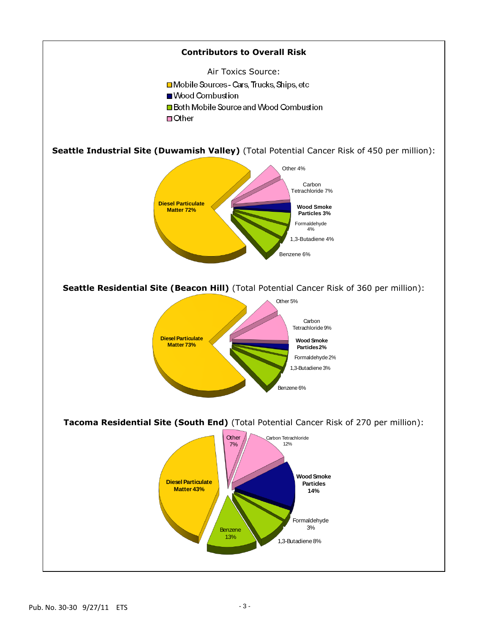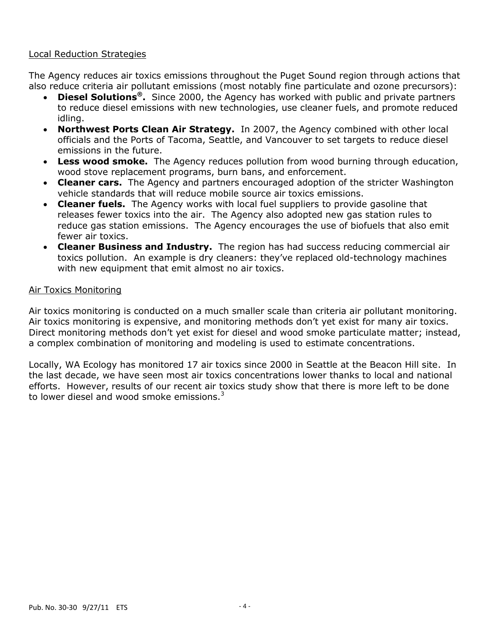#### Local Reduction Strategies

The Agency reduces air toxics emissions throughout the Puget Sound region through actions that also reduce criteria air pollutant emissions (most notably fine particulate and ozone precursors):

- **Diesel Solutions® .** Since 2000, the Agency has worked with public and private partners to reduce diesel emissions with new technologies, use cleaner fuels, and promote reduced idling.
- **Northwest Ports Clean Air Strategy.** In 2007, the Agency combined with other local officials and the Ports of Tacoma, Seattle, and Vancouver to set targets to reduce diesel emissions in the future.
- **Less wood smoke.** The Agency reduces pollution from wood burning through education, wood stove replacement programs, burn bans, and enforcement.
- **Cleaner cars.** The Agency and partners encouraged adoption of the stricter Washington vehicle standards that will reduce mobile source air toxics emissions.
- **Cleaner fuels.** The Agency works with local fuel suppliers to provide gasoline that releases fewer toxics into the air. The Agency also adopted new gas station rules to reduce gas station emissions. The Agency encourages the use of biofuels that also emit fewer air toxics.
- **Cleaner Business and Industry.** The region has had success reducing commercial air toxics pollution. An example is dry cleaners: they've replaced old-technology machines with new equipment that emit almost no air toxics.

### Air Toxics Monitoring

Air toxics monitoring is conducted on a much smaller scale than criteria air pollutant monitoring. Air toxics monitoring is expensive, and monitoring methods don't yet exist for many air toxics. Direct monitoring methods don't yet exist for diesel and wood smoke particulate matter; instead, a complex combination of monitoring and modeling is used to estimate concentrations.

Locally, WA Ecology has monitored 17 air toxics since 2000 in Seattle at the Beacon Hill site. In the last decade, we have seen most air toxics concentrations lower thanks to local and national efforts. However, results of our recent air toxics study show that there is more left to be done to lower diesel and wood smoke emissions.<sup>[3](#page-0-0)</sup>